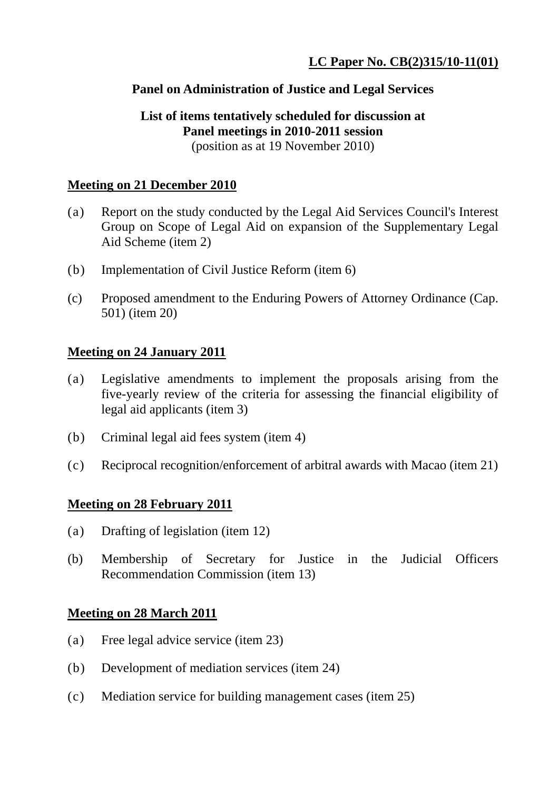## **Panel on Administration of Justice and Legal Services**

# **List of items tentatively scheduled for discussion at Panel meetings in 2010-2011 session**

(position as at 19 November 2010)

## **Meeting on 21 December 2010**

- (a) Report on the study conducted by the Legal Aid Services Council's Interest Group on Scope of Legal Aid on expansion of the Supplementary Legal Aid Scheme (item 2)
- (b) Implementation of Civil Justice Reform (item 6)
- (c) Proposed amendment to the Enduring Powers of Attorney Ordinance (Cap. 501) (item 20)

#### **Meeting on 24 January 2011**

- (a) Legislative amendments to implement the proposals arising from the five-yearly review of the criteria for assessing the financial eligibility of legal aid applicants (item 3)
- (b) Criminal legal aid fees system (item 4)
- (c) Reciprocal recognition/enforcement of arbitral awards with Macao (item 21)

#### **Meeting on 28 February 2011**

- (a) Drafting of legislation (item 12)
- (b) Membership of Secretary for Justice in the Judicial Officers Recommendation Commission (item 13)

#### **Meeting on 28 March 2011**

- (a) Free legal advice service (item 23)
- (b) Development of mediation services (item 24)
- (c) Mediation service for building management cases (item 25)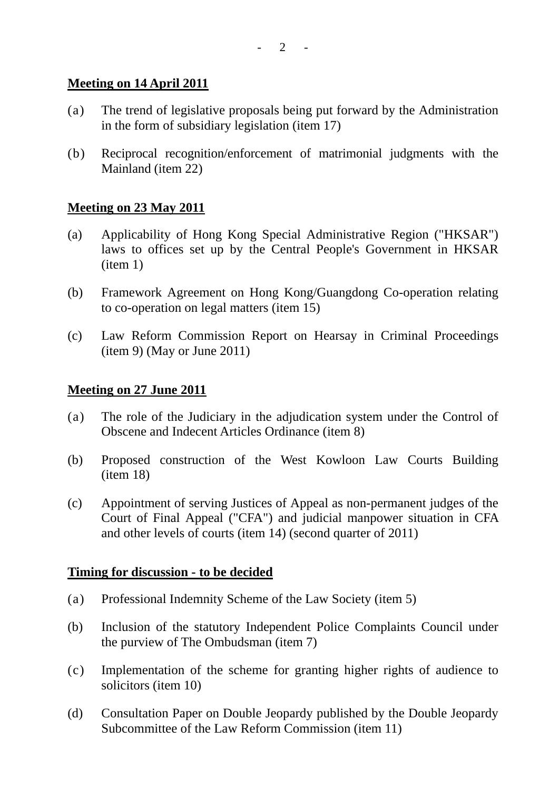$- 2 - 1$ 

## **Meeting on 14 April 2011**

- (a) The trend of legislative proposals being put forward by the Administration in the form of subsidiary legislation (item 17)
- (b) Reciprocal recognition/enforcement of matrimonial judgments with the Mainland (item 22)

## **Meeting on 23 May 2011**

- (a) Applicability of Hong Kong Special Administrative Region ("HKSAR") laws to offices set up by the Central People's Government in HKSAR (item 1)
- (b) Framework Agreement on Hong Kong/Guangdong Co-operation relating to co-operation on legal matters (item 15)
- (c) Law Reform Commission Report on Hearsay in Criminal Proceedings (item 9) (May or June 2011)

#### **Meeting on 27 June 2011**

- (a) The role of the Judiciary in the adjudication system under the Control of Obscene and Indecent Articles Ordinance (item 8)
- (b) Proposed construction of the West Kowloon Law Courts Building (item 18)
- (c) Appointment of serving Justices of Appeal as non-permanent judges of the Court of Final Appeal ("CFA") and judicial manpower situation in CFA and other levels of courts (item 14) (second quarter of 2011)

#### **Timing for discussion - to be decided**

- (a) Professional Indemnity Scheme of the Law Society (item 5)
- (b) Inclusion of the statutory Independent Police Complaints Council under the purview of The Ombudsman (item 7)
- (c) Implementation of the scheme for granting higher rights of audience to solicitors (item 10)
- (d) Consultation Paper on Double Jeopardy published by the Double Jeopardy Subcommittee of the Law Reform Commission (item 11)